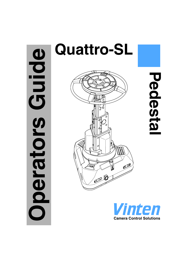# Guide **Operators Guide** perators



**Pedestal**Pedesta

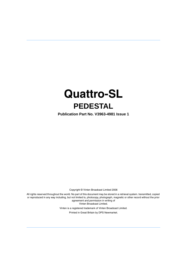# **Quattro-SL PEDESTAL**

**Publication Part No. V3963-4981 Issue 1**

Copyright © Vinten Broadcast Limited 2006

All rights reserved throughout the world. No part of this document may be stored in a retrieval system. transmitted, copied or reproduced in any way including, but not limited to, photocopy, photograph, magnetic or other record without the prior agreement and permission in writing of Vinten Broadcast Limited.

> Vinten is a registered trademark of Vinten Broadcast Limited. Printed in Great Britain by DPS Newmarket.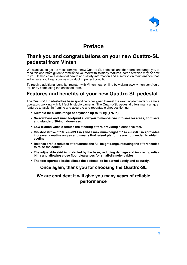

# **Preface**

# <span id="page-2-0"></span>**Thank you and congratulations on your new Quattro-SL pedestal from Vinten**

We want you to get the most from your new Quattro-SL pedestal, and therefore encourage you to read this operators guide to familiarise yourself with its many features, some of which may be new to you. It also covers essential health and safety information and a section on maintenance that will ensure you keep your new product in perfect condition.

To receive additional benefits, register with Vinten now, on line by visiting www.vinten.com/register, or by completing the enclosed form.

# **Features and benefits of your new Quattro-SL pedestal**

The Quattro-SL pedestal has been specifically designed to meet the exacting demands of camera operators working with full facility studio cameras. The Quattro-SL pedestal offers many unique features to assist in framing and accurate and repeatable shot positioning.

- **Suitable for a wide range of payloads up to 80 kg (176 lb).**
- **Narrow base and small footprint allow you to manoeuvre into smaller areas, tight sets and standard 30-inch doorways.**
- **Low-friction wheels reduce the steering effort, providing a sensitive feel.**
- **On-shot stroke of 100 cm (39.4 in.) and a maximum height of 147 cm (58.3 in.) provides increased creative angles and means that raised platforms are not needed to obtain eyeline.**
- **Balance profile reduces effort across the full height range, reducing the effort needed to raise the column.**
- **The adjustable skirt is protected by the base, reducing damage and improving reliability and allowing close floor clearances for small-diameter cables.**
- **The foot-operated brake allows the pedestal to be parked safely and securely.**

### **Once again, thank you for choosing the Quattro-SL**

**We are confident it will give you many years of reliable performance**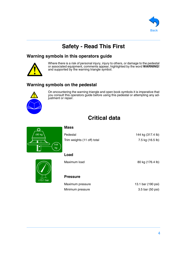

# **Safety - Read This First**

### <span id="page-3-0"></span>**Warning symbols in this operators guide**



Where there is a risk of personal injury, injury to others, or damage to the pedestal or associated equipment, comments appear, highlighted by the word **WARNING!** and supported by the warning triangle symbol.

# **Warning symbols on the pedestal**



On encountering the warning triangle and open book symbols it is imperative that you consult this operators guide before using this pedestal or attempting any adjustment or repair.

# **Critical data**

<span id="page-3-1"></span>

### **Mass**

| Pedestal                    | 144 kg (317.4 lb) |
|-----------------------------|-------------------|
| Trim weights (11 off) total | 7.5 kg (16.5 lb)  |



### **Load**

Maximum load 80 kg (176.4 lb)

### **Pressure**

Maximum pressure 13.1 bar (190 psi) Minimum pressure 3.5 bar (50 psi)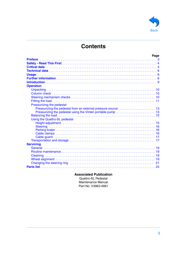

 $\overline{a}$ 

# **Contents**

|                               | Page |
|-------------------------------|------|
|                               |      |
|                               |      |
|                               |      |
|                               |      |
|                               |      |
|                               |      |
|                               |      |
| <b>Operation</b>              |      |
|                               |      |
|                               |      |
|                               |      |
|                               |      |
|                               |      |
| Pressurizing the pedestal     |      |
|                               |      |
|                               |      |
|                               |      |
| Using the Quattro-SL pedestal |      |
|                               |      |
|                               |      |
|                               |      |
|                               |      |
|                               |      |
|                               |      |
| <b>Servicing</b>              |      |
|                               |      |
|                               |      |
|                               |      |
|                               |      |
|                               |      |
|                               |      |
|                               |      |

### **Associated Publication**

Quattro-SL Pedestal Maintenance Manual Part No. V3963-4991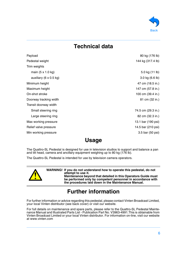

# **Technical data**

<span id="page-5-0"></span>

| Payload                | 80 kg (176 lb)     |
|------------------------|--------------------|
| Pedestal weight        | 144 kg (317.4 lb)  |
| Trim weights           |                    |
| main (5 x 1.0 kg)      | 5.0 kg (11 lb)     |
| auxiliary (6 x 0.5 kg) | 3.0 kg (6.6 lb)    |
| Minimum height         | 47 cm (18.5 in.)   |
| Maximum height         | 147 cm (57.8 in.)  |
| On-shot stroke         | 100 cm (39.4 in.)  |
| Doorway tracking width | 81 cm (32 in.)     |
| Transit doorway width  |                    |
| Small steering ring    | 74.5 cm (29.3 in.) |
| Large steering ring    | 82 cm (32.3 in.)   |
| Max working pressure   | 13.1 bar (190 psi) |
| Relief valve pressure  | 14.5 bar (210 psi) |
| Min working pressure   | 3.5 bar (50 psi)   |

# **Usage**

<span id="page-5-1"></span>The Quattro-SL Pedestal is designed for use in television studios to support and balance a pan and tilt head, camera and ancillary equipment weighing up to 80 kg (176 lb).

The Quattro-SL Pedestal is intended for use by television camera operators.



**WARNING! If you do not understand how to operate this pedestal, do not attempt to use it. Maintenance beyond that detailed in this Operators Guide must** 

**be performed only by competent personnel in accordance with the procedures laid down in the Maintenance Manual.**

# **Further information**

<span id="page-5-2"></span>For further information or advice regarding this pedestal, please contact Vinten Broadcast Limited, your local Vinten distributor (see back cover) or visit our website.

For full details on maintenance and spare parts, please refer to the Quattro-SL Pedestal Maintenance Manual and Illustrated Parts List - Publication Part No. V3963-4991.This is obtainable from Vinten Broadcast Limited or your local Vinten distributor. For information on-line, visit our website at www.vinten.com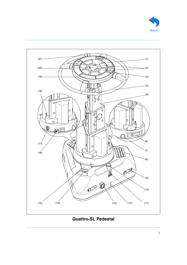<span id="page-6-4"></span><span id="page-6-3"></span><span id="page-6-2"></span><span id="page-6-1"></span><span id="page-6-0"></span>

<span id="page-6-20"></span><span id="page-6-19"></span><span id="page-6-18"></span><span id="page-6-17"></span>

# <span id="page-6-16"></span><span id="page-6-15"></span><span id="page-6-14"></span><span id="page-6-13"></span><span id="page-6-12"></span><span id="page-6-11"></span><span id="page-6-10"></span><span id="page-6-9"></span><span id="page-6-8"></span><span id="page-6-7"></span><span id="page-6-6"></span><span id="page-6-5"></span>**Quattro-SL Pedestal**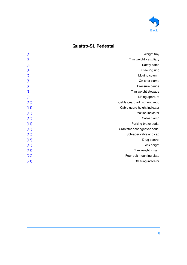

# **Quattro-SL Pedestal**

| (1)  | Weight tray                  |
|------|------------------------------|
| (2)  | Trim weight - auxiliary      |
| (3)  | Safety catch                 |
| (4)  | Steering ring                |
| (5)  | Moving column                |
| (6)  | On-shot clamp                |
| (7)  | Pressure gauge               |
| (8)  | Trim weight stowage          |
| (9)  | Lifting aperture             |
| (10) | Cable guard adjustment knob  |
| (11) | Cable guard height indicator |
| (12) | Position indicator           |
| (13) | Cable clamp                  |
| (14) | Parking brake pedal          |
| (15) | Crab/steer changeover pedal  |
| (16) | Schrader valve and cap       |
| (17) | Drag control                 |
| (18) | Lock spigot                  |
| (19) | Trim weight - main           |
| (20) | Four-bolt mounting plate     |
| (21) | Steering indicator           |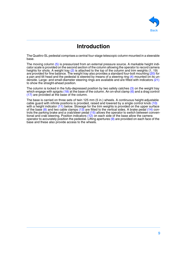

# **Introduction**

<span id="page-8-0"></span>The Quattro-SL pedestal comprises a central four-stage telescopic column mounted in a steerable base.

The moving column [\(5\)](#page-6-4) is pressurized from an external pressure source. A markable height indicator scale is provided on the second section of the column allowing the operator to record camera heights for shots. A weight tray  $(2)$  is attached to the top of the column and trim weights (1, 19) are provided for fine balance. The weight tray also provides a standard four-bolt mounting  $(20)$  for a pan and tilt head and the pedestal is steered by means of a steering ring [\(4\)](#page-6-3) mounted on its underside. Large- and small-diameter steering rings are available and are fitted with indicators [\(21\)](#page-6-20) to show the straight-ahead position.

The column is locked in the fully-depressed position by two safety catches  $(3)$  on the weight tray which engage with spigots [\(18\)](#page-6-17) at the base of the column. An on-shot clamp  $(6)$  and a drag control [\(17\)](#page-6-16) are provided at the base of the column.

The base is carried on three sets of twin 125 mm (5 in.) wheels. A continuous height-adjustable cable guard with infinite positions is provided, raised and lowered by a single control knob [\(10\)](#page-6-9) with a height indicator [\(11\)](#page-6-10) below. Stowage for the trim weights is provided on the upper surface of the base  $(8)$  and two cable clamps  $(13)$  are fitted to the vertical sides. A brake pedal  $(14)$  controls the parking brake and a crab/steer pedal [\(15\)](#page-6-14) allows the operator to switch between conventional and crab steering. Position indicators [\(12\)](#page-6-11) on each side of the base allow the camera operator to accurately position the pedestal. Lifting apertures  $(9)$  are provided on each face of the base and these also provide access to the wheels.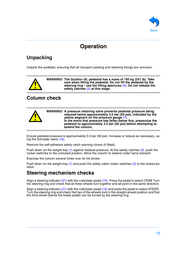

# **Operation**

# <span id="page-9-1"></span><span id="page-9-0"></span>**Unpacking**

Unpack the pedestal, ensuring that all transport packing and retaining fixings are removed.



**WARNING! The Quattro--SL pedestal has a mass of 150 kg (331 lb). Take care when lifting the pedestal. Do not lift the pedestal by the steering ring - use the lifting apertures** [\(9\)](#page-6-8)**. Do not release the safety catches** [\(3\)](#page-6-2) **at this stage.**

# <span id="page-9-2"></span>**Column check**



Ensure pedestal pressure is approximately 3.5 bar (50 psi). Increase or reduce as necessary, using the Schrader valve [\(16\).](#page-6-15)

Remove the self-adhesive safety catch warning covers (if fitted).

Push down on the weight tray [\(1\)](#page-6-0) against residual pressure. At the safety catches [\(3\),](#page-6-2) push the rocker switches to the unlocked position. Allow the column to extend under hand restraint.

Exercise the column several times over its full stroke.

Push down on the weight tray  $(1)$  and push the safety catch rocker switches  $(3)$  to the locked position.

## <span id="page-9-3"></span>**Steering mechanism checks**

Align a steering indicator [\(21\)](#page-6-20) with the crab/steer pedal [\(15\).](#page-6-14) Press the pedal to select CRAB Turn the steering ring and check that all three wheels turn together and all point in the same direction.

Align a steering indicator [\(21\)](#page-6-20) with the crab/steer pedal [\(15\)](#page-6-14) and press the pedal to select STEER. Turn the steering ring and check that two of the wheels lock in the straight-ahead position and that the third wheel (below the brake pedal) can be turned by the steering ring.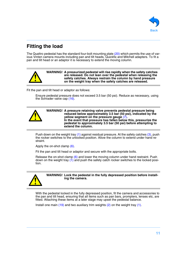

# <span id="page-10-0"></span>**Fitting the load**

The Quattro pedestal has the standard four-bolt mounting plate [\(20\)](#page-6-19) which permits the use of various Vinten camera mounts including pan and tilt heads, Quickfix and Mitchell adapters. To fit a pan and tilt head or an adaptor it is necessary to extend the moving column.



**WARNING! A pressurized pedestal will rise rapidly when the safety catches are released. Do not lean over the pedestal when releasing the safety catches. Always restrain the column by hand pressure on the weight tray when the safety catches are released.**

Fit the pan and tilt head or adaptor as follows:

Ensure pedestal pressure does not exceed 3.5 bar (50 psi). Reduce as necessary, using the Schrader valve cap [\(16\)](#page-6-15).



**WARNING! A pressure retaining valve prevents pedestal pressure being reduced below approximately 3.5 bar (50 psi), indicated by the yellow segment on the pressure gauge** [\(7\)](#page-6-6)**. In the event that pressure has fallen below this, pressurize the pedestal to approximately 3.5 bar (50 psi) before attempting to extend the column.**

Push down on the weight tray [\(1\)](#page-6-0) against residual pressure. At the safety catches [\(3\)](#page-6-2), push the rocker switches to the unlocked position. Allow the column to extend under hand restraint.

Apply the on-shot clamp [\(6\).](#page-6-5)

Fit the pan and tilt head or adaptor and secure with the appropriate bolts.

Release the on-shot clamp [\(6\)](#page-6-5) and lower the moving column under hand restraint. Push down on the weight tray  $(1)$  and push the safety catch rocker switches to the locked position.



**WARNING! Lock the pedestal in the fully depressed position before installing the camera.**

With the pedestal locked in the fully depressed position, fit the camera and accessories to the pan and tilt head, ensuring that all items such as pan bars, prompters, lenses etc, are fitted. Attaching these items at a later stage may upset the pedestal balance.

Install one main  $(19)$  and two auxiliary trim weights  $(2)$  on the weight tray  $(1)$ .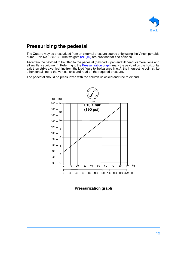

# <span id="page-11-0"></span>**Pressurizing the pedestal**

The Quattro may be pressurized from an external pressure source or by using the Vinten portable pump (Part No. 3357-3). Trim weights [\(2\)](#page-6-1), [\(19\)](#page-6-18) are provided for fine balance.

Ascertain the payload to be fitted to the pedestal (payload = pan and tilt head, camera, lens and all ancillary equipment). Referring to the [Pressurization graph](#page-11-1), mark the payload on the horizontal axis then strike a vertical line from the load figure to the balance line. At the intersecting point strike a horizontal line to the vertical axis and read off the required pressure.

The pedestal should be pressurized with the column unlocked and free to extend.



<span id="page-11-1"></span>**Pressurization graph**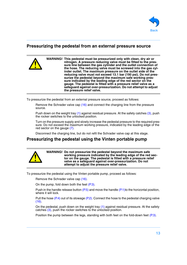

### <span id="page-12-0"></span>**Pressurizing the pedestal from an external pressure source**

**WARNING! This pedestal must be pressurized only with clean, dry air or nitrogen. A pressure reducing valve must be fitted to the pressure line between the gas cylinder and the outlet connection of the hose. The reducing valve must be screwed into the gas cylinder outlet. The maximum pressure on the outlet side of the reducing valve must not exceed 13.1 bar (190 psi). Do not pressurize the pedestal beyond the maximum safe working pressure indicated by the leading edge of the red sector on the gauge. The pedestal is fitted with a pressure relief valve as a safeguard against over-pressurization. Do not attempt to adjust the pressure relief valve.**

To pressurize the pedestal from an external pressure source, proceed as follows:

Remove the Schrader valve cap [\(16\)](#page-6-15) and connect the charging line from the pressure source.

Push down on the weight tray [\(1\)](#page-6-0) against residual pressure. At the safety catches [\(3\)](#page-6-2), push the rocker switches to the unlocked position.

Turn on the pressure supply and slowly increase the pedestal pressure to the required pressure. Do not exceed the maximum working pressure, indicated by the leading edge of the red sector on the gauge [\(7\).](#page-6-6)

Disconnect the charging line, but do not refit the Schrader valve cap at this stage.

### <span id="page-12-1"></span>**Pressurizing the pedestal using the Vinten portable pump**



**WARNING! Do not pressurize the pedestal beyond the maximum safe working pressure indicated by the leading edge of the red sector on the gauge. The pedestal is fitted with a pressure relief valve as a safeguard against over-pressurization. Do not attempt to adjust the pressure relief valve.**

To pressurize the pedestal using the Vinten portable pump, proceed as follows:

Remove the Schrader valve cap [\(16\)](#page-6-15).

On the pump, fold down both the feet [\(P.3\)](#page-13-2).

Push in the handle release button  $(P.5)$  and move the handle  $(P.1)$  to the horizontal position, where it will lock.

Pull the hose [\(P.4\)](#page-13-3) out of its stowage [\(P.2\).](#page-13-1) Connect the hose to the pedestal charging valve [\(16\)](#page-6-15).

On the pedestal, push down on the weight tray [\(1\)](#page-6-0) against residual pressure. At the safety catches [\(3\),](#page-6-2) push the rocker switches to the unlocked position.

Position the pump between the legs, standing with both feet on the fold-down feet [\(P.3\)](#page-13-2).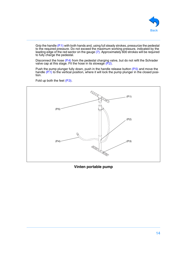<span id="page-13-0"></span>

Grip the handle [\(P.1\)](#page-13-0) with both hands and, using full steady strokes, pressurize the pedestal to the required pressure. Do not exceed the maximum working pressure, indicated by the leading edge of the red sector on the gauge [\(7\)](#page-6-6). Approximately 600 strokes will be required to fully charge the pedestal.

Disconnect the hose [\(P.4\)](#page-13-3) from the pedestal charging valve, but do not refit the Schrader valve cap at this stage. Fit the hose in its stowage [\(P.2\).](#page-13-1)

Push the pump plunger fully down, push in the handle release button [\(P.5\)](#page-13-4) and move the handle [\(P.1\)](#page-13-0) to the vertical position, where it will lock the pump plunger in the closed position.

<span id="page-13-4"></span>Fold up both the feet [\(P.3\).](#page-13-2)



<span id="page-13-3"></span><span id="page-13-2"></span><span id="page-13-1"></span>**Vinten portable pump**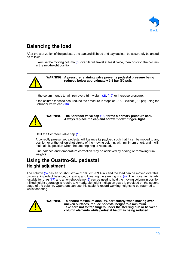

# <span id="page-14-0"></span>**Balancing the load**

After pressurization of the pedestal, the pan and tilt head and payload can be accurately balanced, as follows:

Exercise the moving column [\(5\)](#page-6-4) over its full travel at least twice, then position the column in the mid-height position.



**WARNING! A pressure retaining valve prevents pedestal pressure being reduced below approximately 3.5 bar (50 psi).**

If the column tends to fall, remove a trim weight  $(2)$ ,  $(19)$  or increase pressure.

If the column tends to rise, reduce the pressure in steps of 0.15-0.20 bar (2-3 psi) using the Schrader valve cap [\(16\)](#page-6-15).



**WARNING! The Schrader valve cap** [\(16\)](#page-6-15) **forms a primary pressure seal. Always replace the cap and screw it down finger- tight.**

Refit the Schrader valve cap [\(16\)](#page-6-15).

A correctly pressurized pedestal will balance its payload such that it can be moved to any position over the full on-shot stroke of the moving column, with minimum effort, and it will maintain its position when the steering ring is released.

Fine balance and temperature correction may be achieved by adding or removing trim weights.

# <span id="page-14-2"></span><span id="page-14-1"></span>**Using the Quattro-SL pedestal Height adjustment**

The column [\(5\)](#page-6-4) has an on-shot stroke of 100 cm (39.4 in.) and the load can be moved over this distance, in perfect balance, by raising and lowering the steering ring [\(4\).](#page-6-3) The movement is adjustable for drag [\(17\)](#page-6-16) and an on-shot clamp [\(6\)](#page-6-5) can be used to hold the moving column in position if fixed height operation is required. A markable height indication scale is provided on the second stage of the column. Operators can use this scale to record working heights to be returned to whilst shooting.



**WARNING! To ensure maximum stability, particularly when moving over uneven surfaces, reduce pedestal height to a minimum. Take care not to trap fingers under the steering hub or between column elements while pedestal height is being reduced.**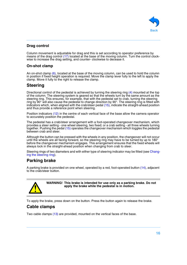

### **Drag control**

Column movement is adjustable for drag and this is set according to operator preference by means of the drag control [\(17\)](#page-6-16) located at the base of the moving column. Turn the control clockwise to increase the drag setting, and counter- clockwise to decease it.

### **On-shot clamp**

An on-shot clamp [\(6\)](#page-6-5), located at the base of the moving column, can be used to hold the column in position if fixed height operation is required. Move the clamp lever fully to the left to apply the clamp. Move it fully to the right to release the clamp.

### <span id="page-15-0"></span>**Steering**

Directional control of the pedestal is achieved by turning the steering ring [\(4\)](#page-6-3) mounted at the top of the column. The steering system is geared so that the wheels turn by the same amount as the steering ring. This ensures, for example, that with the pedestal set to crab, turning the steering ring by 90° will also cause the pedestal to change direction by 90°. The steering ring is fitted with indicators which, when aligned with the crab/steer pedal [\(15\)](#page-6-14), indicate the straight-ahead position and thus provide a reference point when steering.

Position indicators [\(12\)](#page-6-11) in the centre of each vertical face of the base allow the camera operator to accurately position the pedestal.

The pedestal has a crab/steer arrangement with a foot-operated changeover mechanism, which provides a steer setting - one wheel steering, two fixed; or a crab setting - all three wheels turning together. Pushing the pedal [\(15\)](#page-6-14) operates the changeover mechanism which toggles the pedestal between crab and steer.

Although the button can be pressed with the wheels in any position, the changeover will not occur until the wheels are all facing forward, so the steering ring may have to be turned by up to 180° before the changeover mechanism engages. This arrangement ensures that the fixed wheels will always lock in the straight-ahead position when changing from crab to steer.

Steering rings of two diameters and with either type of steering indicator may be fitted (see [Chang](#page-20-0)[ing the steering ring](#page-20-0)).

### <span id="page-15-1"></span>**Parking brake**

A parking brake is provided on one wheel, operated by a red, foot-operated button [\(14\),](#page-6-13) adjacent to the crab/steer button.



**WARNING! This brake is intended for use only as a parking brake. Do not apply the brake while the pedestal is in motion.**

To apply the brake, press down on the button. Press the button again to release the brake.

### <span id="page-15-2"></span>**Cable clamps**

Two cable clamps [\(13\)](#page-6-12) are provided, mounted on the vertical faces of the base.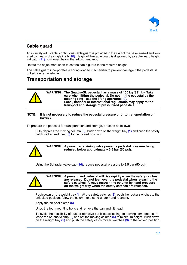

### <span id="page-16-0"></span>**Cable guard**

An infinitely adjustable, continuous cable guard is provided in the skirt of the base, raised and lowered by means of a single knob [\(10\).](#page-6-9) Height of the cable guard is displayed by a cable guard height indicator [\(11\)](#page-6-10) positioned below the adjustment knob.

Rotate the adjustment knob to set the cable guard to the required height.

The cable guard incorporates a spring-loaded mechanism to prevent damage if the pedestal is pulled over an obstacle.

# <span id="page-16-1"></span>**Transportation and storage**



**NOTE: It is not necessary to reduce the pedestal pressure prior to transportation or storage.**

To prepare the pedestal for transportation and storage, proceed as follows:

Fully depress the moving column  $(5)$ . Push down on the weight tray  $(1)$  and push the safety catch rocker switches  $(3)$  to the locked position.



**WARNING! A pressure retaining valve prevents pedestal pressure being reduced below approximately 3.5 bar (50 psi).**

Using the Schrader valve cap [\(16\)](#page-6-15), reduce pedestal pressure to 3.5 bar (50 psi).



**WARNING! A pressurized pedestal will rise rapidly when the safety catches are released. Do not lean over the pedestal when releasing the safety catches. Always restrain the column by hand pressure on the weight tray when the safety catches are released.**

Push down on the weight tray  $(1)$ . At the safety catches  $(3)$ , push the rocker switches to the unlocked position. Allow the column to extend under hand restraint.

Apply the on-shot clamp [\(6\).](#page-6-5)

Undo the four mounting bolts and remove the pan and tilt head.

To avoid the possibility of dust or abrasive particles collecting on moving components, release the on-shot clamp  $(6)$  and set the moving column  $(5)$  to minimum height. Push down on the weight tray [\(1\)](#page-6-0) and push the safety catch rocker switches [\(3\)](#page-6-2) to the locked position.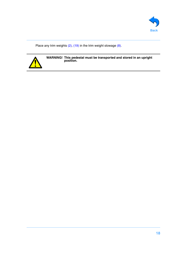

Place any trim weights  $(2)$ ,  $(19)$  in the trim weight stowage  $(8)$ .



**WARNING! This pedestal must be transported and stored in an upright position.**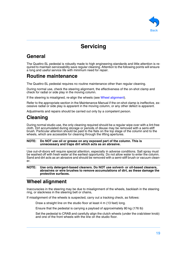

# **Servicing**

# <span id="page-18-1"></span><span id="page-18-0"></span>**General**

The Quattro-SL pedestal is robustly made to high engineering standards and little attention is required to maintain serviceability save regular cleaning. Attention to the following points will ensure a long and useful service life with minimum need for repair.

# <span id="page-18-2"></span>**Routine maintenance**

The Quattro-SL pedestal requires no routine maintenance other than regular cleaning.

During normal use, check the steering alignment, the effectiveness of the on-shot clamp and check for radial or side play in the moving column.

If the steering is misaligned, re-align the wheels (see [Wheel alignment\)](#page-18-4).

Refer to the appropriate section in the Maintenance Manual if the on-shot clamp is ineffective, excessive radial or side play is apparent in the moving column, or any other defect is apparent.

Adjustments and repairs should be carried out only by a competent person.

# <span id="page-18-3"></span>**Cleaning**

During normal studio use, the only cleaning required should be a regular wipe over with a lint-free cloth. Dirt accumulated during storage or periods of disuse may be removed with a semi-stiff brush. Particular attention should be paid to the flats on the top stage of the column and to the wheels, which are accessible for cleaning through the lifting apertures.

### **NOTE: Do NOT use oil or grease on any exposed part of the column. This is unnecessary and traps dirt which acts as an abrasive.**

Use out-of-doors will require special attention, especially in adverse conditions. Salt spray must be washed off with fresh water at the earliest opportunity. Do not allow water to enter the column. Sand and dirt acts as an abrasive and should be removed with a semi-stiff brush or vacuum cleaner.

### **NOTE: Use only detergent-based cleaners. Do NOT use solvent- or oil-based cleaners, abrasives or wire brushes to remove accumulations of dirt, as these damage the protective surfaces.**

# <span id="page-18-4"></span>**Wheel alignment**

Inaccuracies in the steering may be due to misalignment of the wheels, backlash in the steering ring, or slackness in the steering belt or chains,

If misalignment of the wheels is suspected, carry out a tracking check, as follows:

Draw a straight line on the studio floor at least 4 m (13 feet) long.

Ensure that the pedestal is carrying a payload of approximately 80 kg (176 lb)

Set the pedestal to CRAB and carefully align the clutch wheels (under the crab/steer knob) and one of the front wheels with the line on the studio floor.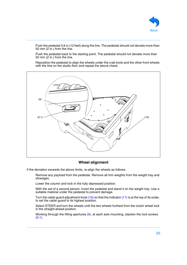

Push the pedestal 3.6 m (12 feet) along the line. The pedestal should not deviate more than 50 mm  $(2 \text{ in.})$  from the line.

Push the pedestal back to the starting point. The pedestal should not deviate more than 50 mm (2 in.) from the line.

Reposition the pedestal to align the wheels under the crab knob and the other front wheels with the line on the studio floor and repeat the above check.

<span id="page-19-1"></span><span id="page-19-0"></span>

### **Wheel alignment**

If the deviation exceeds the above limits, re-align the wheels as follows:

Remove any payload from the pedestal. Remove all trim weights from the weight tray and stowages.

Lower the column and lock in the fully depressed position.

With the aid of a second person, invert the pedestal and stand it on the weight tray. Use a suitable material under the pedestal to prevent damage.

Turn the cable guard adjustment knob [\(10\)](#page-6-9) so that the indicator [\(11\)](#page-6-10) is at the top of its scale, to set the cable guard to its highest position.

Select STEER and turn the wheels until the two wheels furthest from the clutch wheel lock in the straight-ahead position.

Working through the lifting apertures  $(9)$ , at each axle mounting, slacken the lock screws  $(9.1)$ .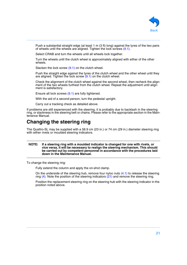

Push a substantial straight edge (at least 1 m (3 ft) long) against the tyres of the two pairs of wheels until the wheels are aligned. Tighten the lock screws  $(9.1)$ .

Select CRAB and turn the wheels until all wheels lock together.

Turn the wheels until the clutch wheel is approximately aligned with either of the other wheels.

Slacken the lock screw  $(9.1)$  on the clutch wheel.

Push the straight edge against the tyres of the clutch wheel and the other wheel until they are aligned. Tighten the lock screw  $(9.1)$  on the clutch wheel.

Check the alignment of the clutch wheel against the second wheel, then recheck the alignment of the two wheels furthest from the clutch wheel. Repeat the adjustment until alignment is satisfactory.

Ensure all lock screws [\(9.1\)](#page-19-1) are fully tightened.

With the aid of a second person, turn the pedestal upright.

Carry out a tracking check as detailed above.

If problems are still experienced with the steering, it is probably due to backlash in the steering ring, or slackness in the steering belt or chains. Please refer to the appropriate section in the Maintenance Manual.

# <span id="page-20-0"></span>**Changing the steering ring**

The Quattro-SL may be supplied with a 58.9 cm (23 in.) or 74 cm (29 in.) diameter steering ring with either rivets or moulded steering indicators.

### **NOTE: If a steering ring with a moulded indicator is changed for one with rivets, or vice versa, it will be necessary to realign the steering mechanism. This should be carried out by competent personnel in accordance with the procedures laid down in the Maintenance Manual.**

To change the steering ring:

Fully extend the column and apply the on-shot clamp.

On the underside of the steering hub, remove four nyloc nuts  $(4.1)$  to release the steering ring [\(4\)](#page-21-0). Note the position of the steering indicators [\(21\)](#page-21-1) and remove the steering ring.

Position the replacement steering ring on the steering hub with the steering indicator in the position noted above.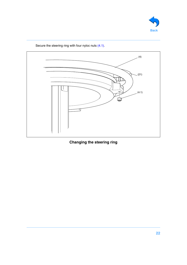<span id="page-21-2"></span><span id="page-21-1"></span><span id="page-21-0"></span>



Secure the steering ring with four nyloc nuts [\(4.1\)](#page-21-2).

**Changing the steering ring**